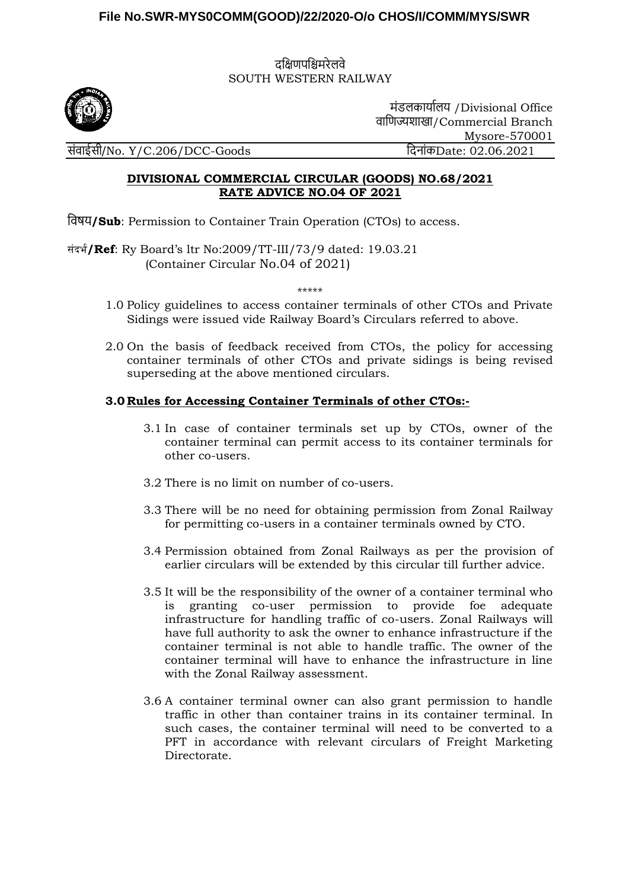### **File No.SWR-MYS0COMM(GOOD)/22/2020-O/o CHOS/I/COMM/MYS/SWR**

दक्षिणपक्षिमरेलवे SOUTH WESTERN RAILWAY



मंडलकार्ाालर् /Divisional Office वाक्षणज्यशाखा/Commercial Branch Mysore-570001 संवाईसी/No. Y/C.206/DCC-Goods क्षदनांकDate: 02.06.2021

# **DIVISIONAL COMMERCIAL CIRCULAR (GOODS) NO.68/2021 RATE ADVICE NO.04 OF 2021**

क्षवषर्**/Sub**: Permission to Container Train Operation (CTOs) to access.

संदर्भ**/Ref**: Ry Board's ltr No:2009/TT-III/73/9 dated: 19.03.21 (Container Circular No.04 of 2021)

\*\*\*\*\*

- 1.0 Policy guidelines to access container terminals of other CTOs and Private Sidings were issued vide Railway Board's Circulars referred to above.
- 2.0 On the basis of feedback received from CTOs, the policy for accessing container terminals of other CTOs and private sidings is being revised superseding at the above mentioned circulars.

### **3.0 Rules for Accessing Container Terminals of other CTOs:-**

- 3.1 In case of container terminals set up by CTOs, owner of the container terminal can permit access to its container terminals for other co-users.
- 3.2 There is no limit on number of co-users.
- 3.3 There will be no need for obtaining permission from Zonal Railway for permitting co-users in a container terminals owned by CTO.
- 3.4 Permission obtained from Zonal Railways as per the provision of earlier circulars will be extended by this circular till further advice.
- 3.5 It will be the responsibility of the owner of a container terminal who is granting co-user permission to provide foe adequate infrastructure for handling traffic of co-users. Zonal Railways will have full authority to ask the owner to enhance infrastructure if the container terminal is not able to handle traffic. The owner of the container terminal will have to enhance the infrastructure in line with the Zonal Railway assessment.
- 3.6 A container terminal owner can also grant permission to handle traffic in other than container trains in its container terminal. In such cases, the container terminal will need to be converted to a PFT in accordance with relevant circulars of Freight Marketing Directorate.